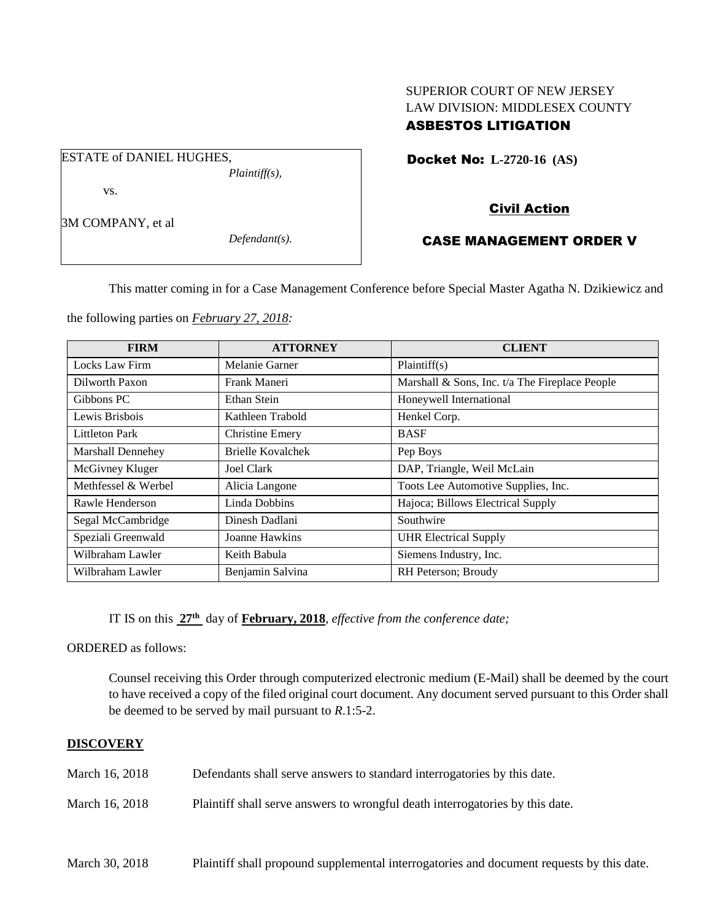# SUPERIOR COURT OF NEW JERSEY LAW DIVISION: MIDDLESEX COUNTY ASBESTOS LITIGATION

Docket No: **L-2720-16 (AS)** 

vs.

ESTATE of DANIEL HUGHES,

3M COMPANY, et al

*Defendant(s).*

*Plaintiff(s),*

# Civil Action

## CASE MANAGEMENT ORDER V

This matter coming in for a Case Management Conference before Special Master Agatha N. Dzikiewicz and

the following parties on *February 27, 2018:*

| <b>FIRM</b>         | <b>ATTORNEY</b>        | <b>CLIENT</b>                                  |
|---------------------|------------------------|------------------------------------------------|
| Locks Law Firm      | Melanie Garner         | Plaintiff(s)                                   |
| Dilworth Paxon      | Frank Maneri           | Marshall & Sons, Inc. t/a The Fireplace People |
| Gibbons PC          | Ethan Stein            | Honeywell International                        |
| Lewis Brisbois      | Kathleen Trabold       | Henkel Corp.                                   |
| Littleton Park      | <b>Christine Emery</b> | <b>BASF</b>                                    |
| Marshall Dennehey   | Brielle Kovalchek      | Pep Boys                                       |
| McGivney Kluger     | Joel Clark             | DAP, Triangle, Weil McLain                     |
| Methfessel & Werbel | Alicia Langone         | Toots Lee Automotive Supplies, Inc.            |
| Rawle Henderson     | Linda Dobbins          | Hajoca; Billows Electrical Supply              |
| Segal McCambridge   | Dinesh Dadlani         | Southwire                                      |
| Speziali Greenwald  | Joanne Hawkins         | <b>UHR Electrical Supply</b>                   |
| Wilbraham Lawler    | Keith Babula           | Siemens Industry, Inc.                         |
| Wilbraham Lawler    | Benjamin Salvina       | RH Peterson; Broudy                            |

IT IS on this **27th** day of **February, 2018**, *effective from the conference date;*

ORDERED as follows:

Counsel receiving this Order through computerized electronic medium (E-Mail) shall be deemed by the court to have received a copy of the filed original court document. Any document served pursuant to this Order shall be deemed to be served by mail pursuant to *R*.1:5-2.

## **DISCOVERY**

- March 16, 2018 Defendants shall serve answers to standard interrogatories by this date.
- March 16, 2018 Plaintiff shall serve answers to wrongful death interrogatories by this date.

| March 30, 2018 |  | Plaintiff shall propound supplemental interrogatories and document requests by this date. |
|----------------|--|-------------------------------------------------------------------------------------------|
|                |  |                                                                                           |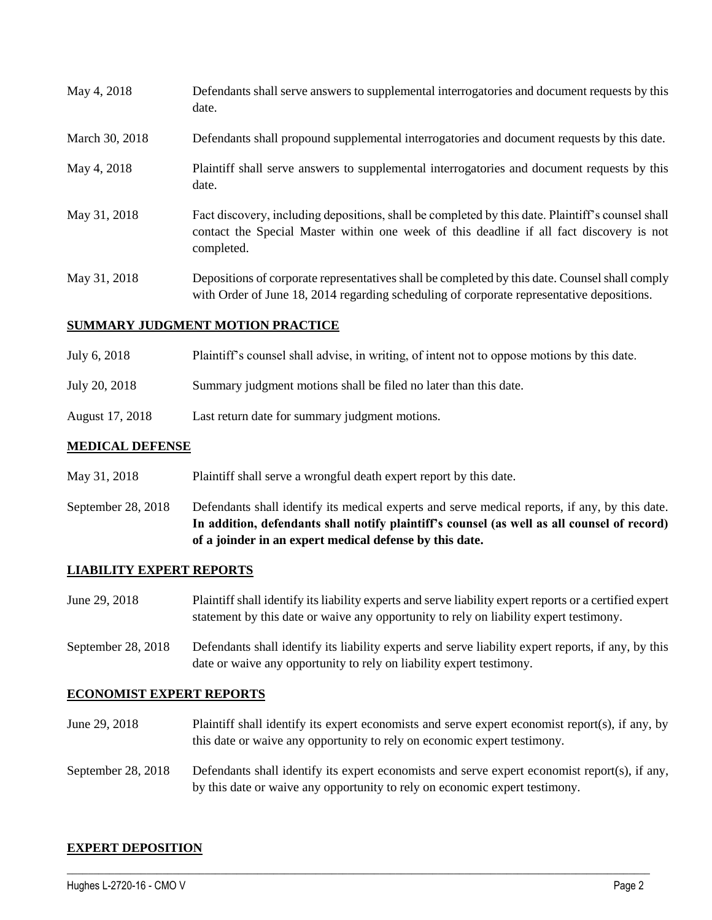| May 4, 2018    | Defendants shall serve answers to supplemental interrogatories and document requests by this<br>date.                                                                                                       |
|----------------|-------------------------------------------------------------------------------------------------------------------------------------------------------------------------------------------------------------|
| March 30, 2018 | Defendants shall propound supplemental interrogatories and document requests by this date.                                                                                                                  |
| May 4, 2018    | Plaintiff shall serve answers to supplemental interrogatories and document requests by this<br>date.                                                                                                        |
| May 31, 2018   | Fact discovery, including depositions, shall be completed by this date. Plaintiff's counsel shall<br>contact the Special Master within one week of this deadline if all fact discovery is not<br>completed. |
| May 31, 2018   | Depositions of corporate representatives shall be completed by this date. Counsel shall comply<br>with Order of June 18, 2014 regarding scheduling of corporate representative depositions.                 |

#### **SUMMARY JUDGMENT MOTION PRACTICE**

- July 6, 2018 Plaintiff's counsel shall advise, in writing, of intent not to oppose motions by this date.
- July 20, 2018 Summary judgment motions shall be filed no later than this date.
- August 17, 2018 Last return date for summary judgment motions.

#### **MEDICAL DEFENSE**

- May 31, 2018 Plaintiff shall serve a wrongful death expert report by this date.
- September 28, 2018 Defendants shall identify its medical experts and serve medical reports, if any, by this date. **In addition, defendants shall notify plaintiff's counsel (as well as all counsel of record) of a joinder in an expert medical defense by this date.**

#### **LIABILITY EXPERT REPORTS**

- June 29, 2018 Plaintiff shall identify its liability experts and serve liability expert reports or a certified expert statement by this date or waive any opportunity to rely on liability expert testimony.
- September 28, 2018 Defendants shall identify its liability experts and serve liability expert reports, if any, by this date or waive any opportunity to rely on liability expert testimony.

## **ECONOMIST EXPERT REPORTS**

- June 29, 2018 Plaintiff shall identify its expert economists and serve expert economist report(s), if any, by this date or waive any opportunity to rely on economic expert testimony.
- September 28, 2018 Defendants shall identify its expert economists and serve expert economist report(s), if any, by this date or waive any opportunity to rely on economic expert testimony.

 $\_$  ,  $\_$  ,  $\_$  ,  $\_$  ,  $\_$  ,  $\_$  ,  $\_$  ,  $\_$  ,  $\_$  ,  $\_$  ,  $\_$  ,  $\_$  ,  $\_$  ,  $\_$  ,  $\_$  ,  $\_$  ,  $\_$  ,  $\_$  ,  $\_$  ,  $\_$  ,  $\_$  ,  $\_$  ,  $\_$  ,  $\_$  ,  $\_$  ,  $\_$  ,  $\_$  ,  $\_$  ,  $\_$  ,  $\_$  ,  $\_$  ,  $\_$  ,  $\_$  ,  $\_$  ,  $\_$  ,  $\_$  ,  $\_$  ,

## **EXPERT DEPOSITION**